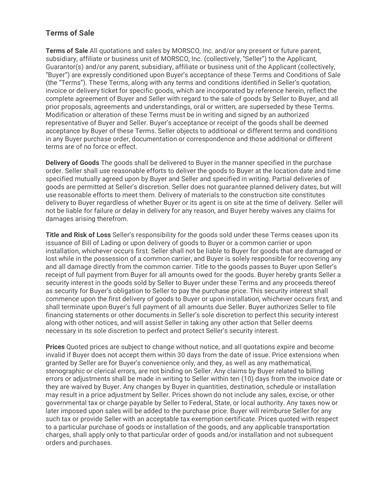## **Terms of Sale**

**Terms of Sale** All quotations and sales by MORSCO, Inc. and/or any present or future parent, subsidiary, affiliate or business unit of MORSCO, Inc. (collectively, "Seller") to the Applicant, Guarantor(s) and/or any parent, subsidiary, affiliate or business unit of the Applicant (collectively, "Buyer") are expressly conditioned upon Buyer's acceptance of these Terms and Conditions of Sale (the "Terms"). These Terms, along with any terms and conditions identified in Seller's quotation, invoice or delivery ticket for specific goods, which are incorporated by reference herein, reflect the complete agreement of Buyer and Seller with regard to the sale of goods by Seller to Buyer, and all prior proposals, agreements and understandings, oral or written, are superseded by these Terms. Modification or alteration of these Terms must be in writing and signed by an authorized representative of Buyer and Seller. Buyer's acceptance or receipt of the goods shall be deemed acceptance by Buyer of these Terms. Seller objects to additional or different terms and conditions in any Buyer purchase order, documentation or correspondence and those additional or different terms are of no force or effect.

**Delivery of Goods** The goods shall be delivered to Buyer in the manner specified in the purchase order. Seller shall use reasonable efforts to deliver the goods to Buyer at the location date and time specified mutually agreed upon by Buyer and Seller and specified in writing. Partial deliveries of goods are permitted at Seller's discretion. Seller does not guarantee planned delivery dates, but will use reasonable efforts to meet them. Delivery of materials to the construction site constitutes delivery to Buyer regardless of whether Buyer or its agent is on site at the time of delivery. Seller will not be liable for failure or delay in delivery for any reason, and Buyer hereby waives any claims for damages arising therefrom.

**Title and Risk of Loss** Seller's responsibility for the goods sold under these Terms ceases upon its issuance of Bill of Lading or upon delivery of goods to Buyer or a common carrier or upon installation, whichever occurs first. Seller shall not be liable to Buyer for goods that are damaged or lost while in the possession of a common carrier, and Buyer is solely responsible for recovering any and all damage directly from the common carrier. Title to the goods passes to Buyer upon Seller's receipt of full payment from Buyer for all amounts owed for the goods. Buyer hereby grants Seller a security interest in the goods sold by Seller to Buyer under these Terms and any proceeds thereof as security for Buyer's obligation to Seller to pay the purchase price. This security interest shall commence upon the first delivery of goods to Buyer or upon installation, whichever occurs first, and shall terminate upon Buyer's full payment of all amounts due Seller. Buyer authorizes Seller to file financing statements or other documents in Seller's sole discretion to perfect this security interest along with other notices, and will assist Seller in taking any other action that Seller deems necessary in its sole discretion to perfect and protect Seller's security interest.

**Prices** Quoted prices are subject to change without notice, and all quotations expire and become invalid if Buyer does not accept them within 30 days from the date of issue. Price extensions when granted by Seller are for Buyer's convenience only, and they, as well as any mathematical, stenographic or clerical errors, are not binding on Seller. Any claims by Buyer related to billing errors or adjustments shall be made in writing to Seller within ten (10) days from the invoice date or they are waived by Buyer. Any changes by Buyer in quantities, destination, schedule or installation may result in a price adjustment by Seller. Prices shown do not include any sales, excise, or other governmental tax or charge payable by Seller to Federal, State, or local authority. Any taxes now or later imposed upon sales will be added to the purchase price. Buyer will reimburse Seller for any such tax or provide Seller with an acceptable tax exemption certificate. Prices quoted with respect to a particular purchase of goods or installation of the goods, and any applicable transportation charges, shall apply only to that particular order of goods and/or installation and not subsequent orders and purchases.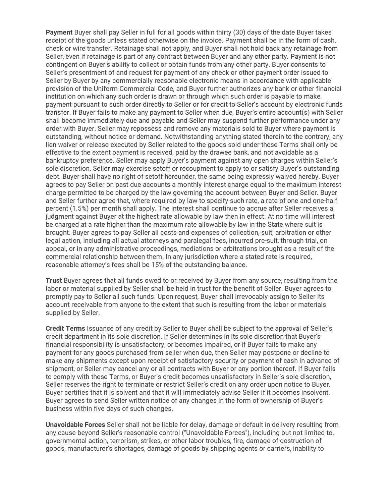**Payment** Buyer shall pay Seller in full for all goods within thirty (30) days of the date Buyer takes receipt of the goods unless stated otherwise on the invoice. Payment shall be in the form of cash, check or wire transfer. Retainage shall not apply, and Buyer shall not hold back any retainage from Seller, even if retainage is part of any contract between Buyer and any other party. Payment is not contingent on Buyer's ability to collect or obtain funds from any other party. Buyer consents to Seller's presentment of and request for payment of any check or other payment order issued to Seller by Buyer by any commercially reasonable electronic means in accordance with applicable provision of the Uniform Commercial Code, and Buyer further authorizes any bank or other financial institution on which any such order is drawn or through which such order is payable to make payment pursuant to such order directly to Seller or for credit to Seller's account by electronic funds transfer. If Buyer fails to make any payment to Seller when due, Buyer's entire account(s) with Seller shall become immediately due and payable and Seller may suspend further performance under any order with Buyer. Seller may repossess and remove any materials sold to Buyer where payment is outstanding, without notice or demand. Notwithstanding anything stated therein to the contrary, any lien waiver or release executed by Seller related to the goods sold under these Terms shall only be effective to the extent payment is received, paid by the drawee bank, and not avoidable as a bankruptcy preference. Seller may apply Buyer's payment against any open charges within Seller's sole discretion. Seller may exercise setoff or recoupment to apply to or satisfy Buyer's outstanding debt. Buyer shall have no right of setoff hereunder, the same being expressly waived hereby. Buyer agrees to pay Seller on past due accounts a monthly interest charge equal to the maximum interest charge permitted to be charged by the law governing the account between Buyer and Seller. Buyer and Seller further agree that, where required by law to specify such rate, a rate of one and one-half percent (1.5%) per month shall apply. The interest shall continue to accrue after Seller receives a judgment against Buyer at the highest rate allowable by law then in effect. At no time will interest be charged at a rate higher than the maximum rate allowable by law in the State where suit is brought. Buyer agrees to pay Seller all costs and expenses of collection, suit, arbitration or other legal action, including all actual attorneys and paralegal fees, incurred pre-suit, through trial, on appeal, or in any administrative proceedings, mediations or arbitrations brought as a result of the commercial relationship between them. In any jurisdiction where a stated rate is required, reasonable attorney's fees shall be 15% of the outstanding balance.

**Trust** Buyer agrees that all funds owed to or received by Buyer from any source, resulting from the labor or material supplied by Seller shall be held in trust for the benefit of Seller. Buyer agrees to promptly pay to Seller all such funds. Upon request, Buyer shall irrevocably assign to Seller its account receivable from anyone to the extent that such is resulting from the labor or materials supplied by Seller.

**Credit Terms** Issuance of any credit by Seller to Buyer shall be subject to the approval of Seller's credit department in its sole discretion. If Seller determines in its sole discretion that Buyer's financial responsibility is unsatisfactory, or becomes impaired, or if Buyer fails to make any payment for any goods purchased from seller when due, then Seller may postpone or decline to make any shipments except upon receipt of satisfactory security or payment of cash in advance of shipment, or Seller may cancel any or all contracts with Buyer or any portion thereof. If Buyer fails to comply with these Terms, or Buyer's credit becomes unsatisfactory in Seller's sole discretion, Seller reserves the right to terminate or restrict Seller's credit on any order upon notice to Buyer. Buyer certifies that it is solvent and that it will immediately advise Seller if it becomes insolvent. Buyer agrees to send Seller written notice of any changes in the form of ownership of Buyer's business within five days of such changes.

**Unavoidable Forces** Seller shall not be liable for delay, damage or default in delivery resulting from any cause beyond Seller's reasonable control ("Unavoidable Forces"), including but not limited to, governmental action, terrorism, strikes, or other labor troubles, fire, damage of destruction of goods, manufacturer's shortages, damage of goods by shipping agents or carriers, inability to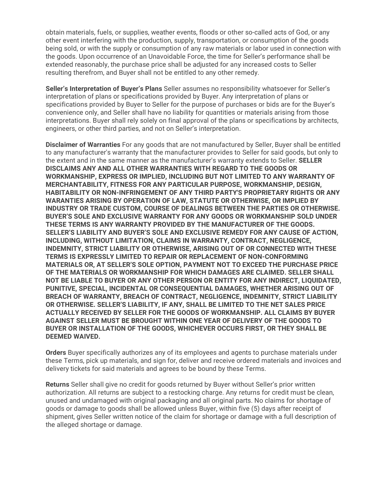obtain materials, fuels, or supplies, weather events, floods or other so-called acts of God, or any other event interfering with the production, supply, transportation, or consumption of the goods being sold, or with the supply or consumption of any raw materials or labor used in connection with the goods. Upon occurrence of an Unavoidable Force, the time for Seller's performance shall be extended reasonably, the purchase price shall be adjusted for any increased costs to Seller resulting therefrom, and Buyer shall not be entitled to any other remedy.

**Seller's Interpretation of Buyer's Plans** Seller assumes no responsibility whatsoever for Seller's interpretation of plans or specifications provided by Buyer. Any interpretation of plans or specifications provided by Buyer to Seller for the purpose of purchases or bids are for the Buyer's convenience only, and Seller shall have no liability for quantities or materials arising from those interpretations. Buyer shall rely solely on final approval of the plans or specifications by architects, engineers, or other third parties, and not on Seller's interpretation.

**Disclaimer of Warranties** For any goods that are not manufactured by Seller, Buyer shall be entitled to any manufacturer's warranty that the manufacturer provides to Seller for said goods, but only to the extent and in the same manner as the manufacturer's warranty extends to Seller. **SELLER DISCLAIMS ANY AND ALL OTHER WARRANTIES WITH REGARD TO THE GOODS OR WORKMANSHIP, EXPRESS OR IMPLIED, INCLUDING BUT NOT LIMITED TO ANY WARRANTY OF MERCHANTABILITY, FITNESS FOR ANY PARTICULAR PURPOSE, WORKMANSHIP, DESIGN, HABITABILITY OR NON-INFRINGEMENT OF ANY THIRD PARTY'S PROPRIETARY RIGHTS OR ANY WARANTIES ARISING BY OPERATION OF LAW, STATUTE OR OTHERWISE, OR IMPLIED BY INDUSTRY OR TRADE CUSTOM, COURSE OF DEALINGS BETWEEN THE PARTIES OR OTHERWISE. BUYER'S SOLE AND EXCLUSIVE WARRANTY FOR ANY GOODS OR WORKMANSHIP SOLD UNDER THESE TERMS IS ANY WARRANTY PROVIDED BY THE MANUFACTURER OF THE GOODS. SELLER'S LIABILITY AND BUYER'S SOLE AND EXCLUSIVE REMEDY FOR ANY CAUSE OF ACTION, INCLUDING, WITHOUT LIMITATION, CLAIMS IN WARRANTY, CONTRACT, NEGLIGENCE, INDEMNITY, STRICT LIABILITY OR OTHERWISE, ARISING OUT OF OR CONNECTED WITH THESE TERMS IS EXPRESSLY LIMITED TO REPAIR OR REPLACEMENT OF NON-CONFORMING MATERIALS OR, AT SELLER'S SOLE OPTION, PAYMENT NOT TO EXCEED THE PURCHASE PRICE OF THE MATERIALS OR WORKMANSHIP FOR WHICH DAMAGES ARE CLAIMED. SELLER SHALL NOT BE LIABLE TO BUYER OR ANY OTHER PERSON OR ENTITY FOR ANY INDIRECT, LIQUIDATED, PUNITIVE, SPECIAL, INCIDENTAL OR CONSEQUENTIAL DAMAGES, WHETHER ARISING OUT OF BREACH OF WARRANTY, BREACH OF CONTRACT, NEGLIGENCE, INDEMNITY, STRICT LIABILITY OR OTHERWISE. SELLER'S LIABILITY, IF ANY, SHALL BE LIMITED TO THE NET SALES PRICE ACTUALLY RECEIVED BY SELLER FOR THE GOODS OF WORKMANSHIP. ALL CLAIMS BY BUYER AGAINST SELLER MUST BE BROUGHT WITHIN ONE YEAR OF DELIVERY OF THE GOODS TO BUYER OR INSTALLATION OF THE GOODS, WHICHEVER OCCURS FIRST, OR THEY SHALL BE DEEMED WAIVED.**

**Orders** Buyer specifically authorizes any of its employees and agents to purchase materials under these Terms, pick up materials, and sign for, deliver and receive ordered materials and invoices and delivery tickets for said materials and agrees to be bound by these Terms.

**Returns** Seller shall give no credit for goods returned by Buyer without Seller's prior written authorization. All returns are subject to a restocking charge. Any returns for credit must be clean, unused and undamaged with original packaging and all original parts. No claims for shortage of goods or damage to goods shall be allowed unless Buyer, within five (5) days after receipt of shipment, gives Seller written notice of the claim for shortage or damage with a full description of the alleged shortage or damage.